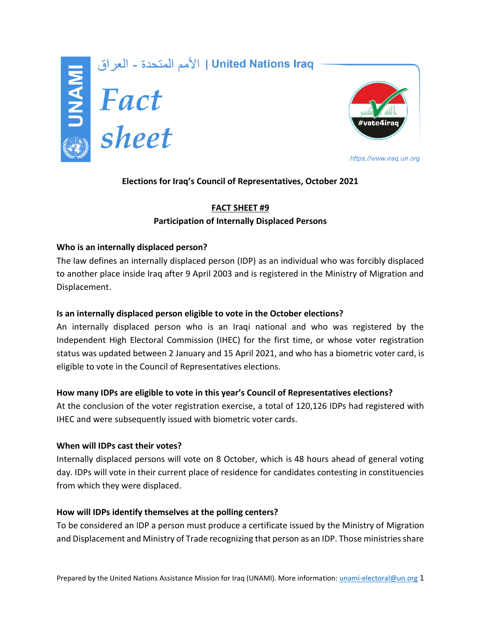

الأمم المتحدة - العراق | United Nations Iraq<br>| **Extrem | Separat | Sheet**<br>| Sheet



https://www.iraq.un.org

# **Elections for Iraq's Council of Representatives, October 2021**

# **FACT SHEET #9 Participation of Internally Displaced Persons**

## **Who is an internally displaced person?**

The law defines an internally displaced person (IDP) as an individual who was forcibly displaced to another place inside Iraq after 9 April 2003 and is registered in the Ministry of Migration and Displacement.

## **Is an internally displaced person eligible to vote in the October elections?**

An internally displaced person who is an Iraqi national and who was registered by the Independent High Electoral Commission (IHEC) for the first time, or whose voter registration status was updated between 2 January and 15 April 2021, and who has a biometric voter card, is eligible to vote in the Council of Representatives elections.

## **How many IDPs are eligible to vote in this year's Council of Representatives elections?**

At the conclusion of the voter registration exercise, a total of 120,126 IDPs had registered with IHEC and were subsequently issued with biometric voter cards.

## **When will IDPs cast their votes?**

Internally displaced persons will vote on 8 October, which is 48 hours ahead of general voting day. IDPs will vote in their current place of residence for candidates contesting in constituencies from which they were displaced.

## **How will IDPs identify themselves at the polling centers?**

To be considered an IDP a person must produce a certificate issued by the Ministry of Migration and Displacement and Ministry of Trade recognizing that person as an IDP. Those ministries share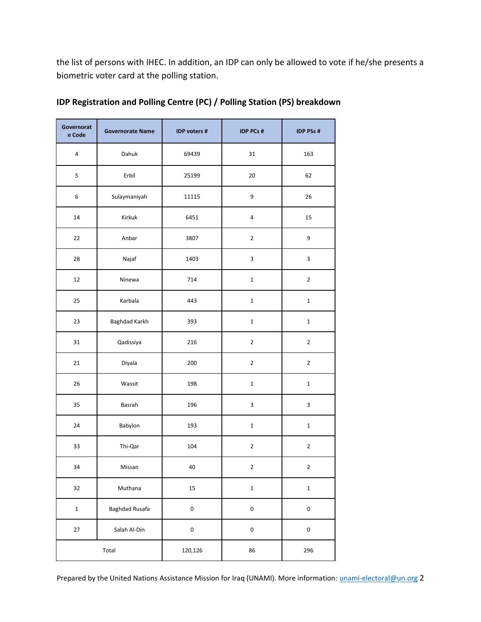the list of persons with IHEC. In addition, an IDP can only be allowed to vote if he/she presents a biometric voter card at the polling station.

| Governorat<br>e Code | <b>Governorate Name</b> | IDP voters #        | <b>IDP PCs #</b>        | <b>IDP PSs #</b> |
|----------------------|-------------------------|---------------------|-------------------------|------------------|
| $\overline{4}$       | Dahuk                   | 69439               | 31                      | 163              |
| 5                    | Erbil                   | 25199               | 20                      | 62               |
| 6                    | Sulaymaniyah            | 11115               | 9                       | 26               |
| $14\,$               | Kirkuk                  | 6451                | $\overline{\mathbf{4}}$ | 15               |
| 22                   | Anbar                   | 3807                | $\overline{2}$          | 9                |
| 28                   | Najaf                   | 1403                | 3                       | 3                |
| 12                   | Ninewa                  | 714                 | $\mathbf 1$             | $\mathbf{2}$     |
| 25                   | Karbala                 | 443                 | $\mathbf 1$             | $\mathbf 1$      |
| 23                   | Baghdad Karkh           | 393                 | $\mathbf 1$             | $\mathbf 1$      |
| 31                   | Qadissiya               | 216                 | $\overline{2}$          | $\overline{2}$   |
| 21                   | Diyala                  | 200                 | $\overline{2}$          | $\mathbf{2}$     |
| 26                   | Wassit                  | 198                 | $\mathbf 1$             | $\mathbf 1$      |
| 35                   | Basrah                  | 196                 | 3                       | $\mathbf{3}$     |
| 24                   | Babylon                 | 193                 | $\mathbf 1$             | $\mathbf 1$      |
| 33                   | Thi-Qar                 | 104                 | $\overline{2}$          | $\overline{2}$   |
| 34                   | Missan                  | 40                  | 2                       | $\overline{2}$   |
| 32                   | Muthana                 | 15                  | $\mathbf 1$             | $\mathbf 1$      |
| $\mathbf 1$          | <b>Baghdad Rusafa</b>   | $\mathsf 0$         | $\pmb{0}$               | 0                |
| 27                   | Salah Al-Din            | $\mathsf{O}\xspace$ | $\mathsf 0$             | $\pmb{0}$        |
| Total                |                         | 120,126             | 86                      | 296              |

| IDP Registration and Polling Centre (PC) / Polling Station (PS) breakdown |  |  |
|---------------------------------------------------------------------------|--|--|
|---------------------------------------------------------------------------|--|--|